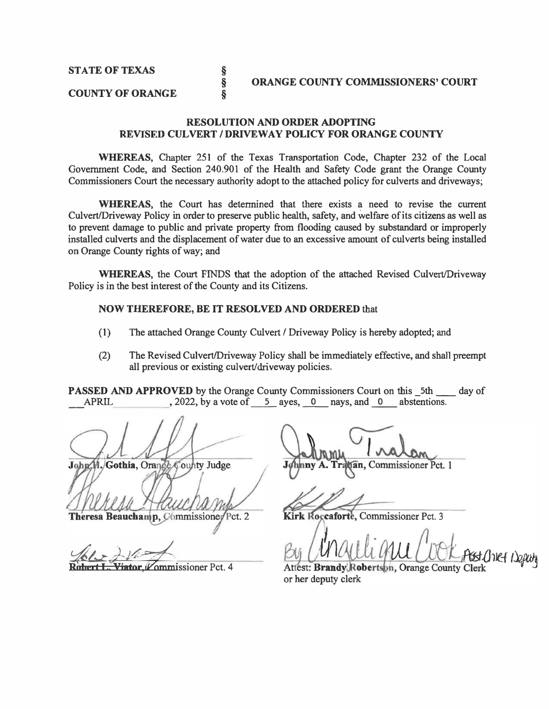#### **COUNTY OF ORANGE**

#### **RESOLUTION AND ORDER ADOPTING REVISED CULVERT/ DRIVEWAY POLICY FOR ORANGE COUNTY**

**WHEREAS,** Chapter 251 of the Texas Transportation Code, Chapter 232 of the Local Govenunent Code, and Section 240.901 of the Health and Safety Code grant the Orange County Commissioners Court the necessary authority adopt to the attached policy for culverts and driveways;

**WHEREAS,** the Court has detennined that there exists a need to revise the current Culvert/Driveway Policy in order to preserve public health, safety, and welfare of its citizens as well as to prevent damage to public and private property from flooding caused by substandard or improperly installed culverts and the displacement of water due to an excessive amount of culverts being installed on Orange County rights of way; and

**WHEREAS,** the Court FINDS that the adoption of the attached Revised Culvert/Driveway Policy is in the best interest of the County and its Citizens.

#### **NOW THEREFORE, BE IT RESOLVED AND ORDERED** that

**§ § §** 

- (1) The attached Orange County Culvert/ Driveway Policy is hereby adopted; and
- (2) The Revised Culvert/Driveway Policy shall be immediately effective, and shall preempt all previous or existing culvert/driveway policies.

**PASSED AND APPROVED** by the Orange County Commissioners Court on this \_5th \_\_\_ day of APRIL 2022, by a vote of 5 aves, 0 navs, and 0 abstentions.  $\lambda$ , 2022, by a vote of  $\overline{5}$  ayes, 0 nays, and 0 abstentions.

John H. Gothia, Orange County Judge

Theresa Beauchamp, Commissioner Pct. 2

Viator Vommissioner Pct. 4

an, Commissioner Pct. 1

Kirk Roccaforte, Commissioner Pct. 3

tsst Chief Deputy

Attest: Brandy Robertson, Orange County Clerk or her deputy clerk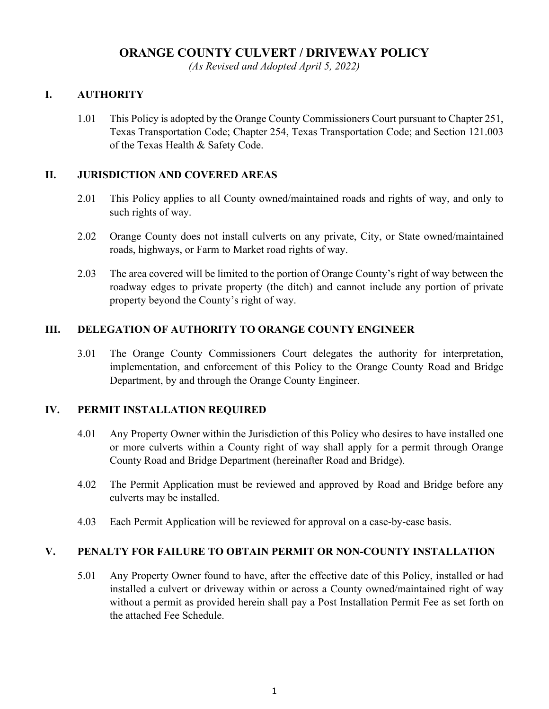### **ORANGE COUNTY CULVERT / DRIVEWAY POLICY**

*(As Revised and Adopted April 5, 2022)*

#### **I. AUTHORITY**

1.01 This Policy is adopted by the Orange County Commissioners Court pursuant to Chapter 251, Texas Transportation Code; Chapter 254, Texas Transportation Code; and Section 121.003 of the Texas Health & Safety Code.

#### **II. JURISDICTION AND COVERED AREAS**

- 2.01 This Policy applies to all County owned/maintained roads and rights of way, and only to such rights of way.
- 2.02 Orange County does not install culverts on any private, City, or State owned/maintained roads, highways, or Farm to Market road rights of way.
- 2.03 The area covered will be limited to the portion of Orange County's right of way between the roadway edges to private property (the ditch) and cannot include any portion of private property beyond the County's right of way.

#### **III. DELEGATION OF AUTHORITY TO ORANGE COUNTY ENGINEER**

3.01 The Orange County Commissioners Court delegates the authority for interpretation, implementation, and enforcement of this Policy to the Orange County Road and Bridge Department, by and through the Orange County Engineer.

#### **IV. PERMIT INSTALLATION REQUIRED**

- 4.01 Any Property Owner within the Jurisdiction of this Policy who desires to have installed one or more culverts within a County right of way shall apply for a permit through Orange County Road and Bridge Department (hereinafter Road and Bridge).
- 4.02 The Permit Application must be reviewed and approved by Road and Bridge before any culverts may be installed.
- 4.03 Each Permit Application will be reviewed for approval on a case-by-case basis.

#### **V. PENALTY FOR FAILURE TO OBTAIN PERMIT OR NON-COUNTY INSTALLATION**

5.01 Any Property Owner found to have, after the effective date of this Policy, installed or had installed a culvert or driveway within or across a County owned/maintained right of way without a permit as provided herein shall pay a Post Installation Permit Fee as set forth on the attached Fee Schedule.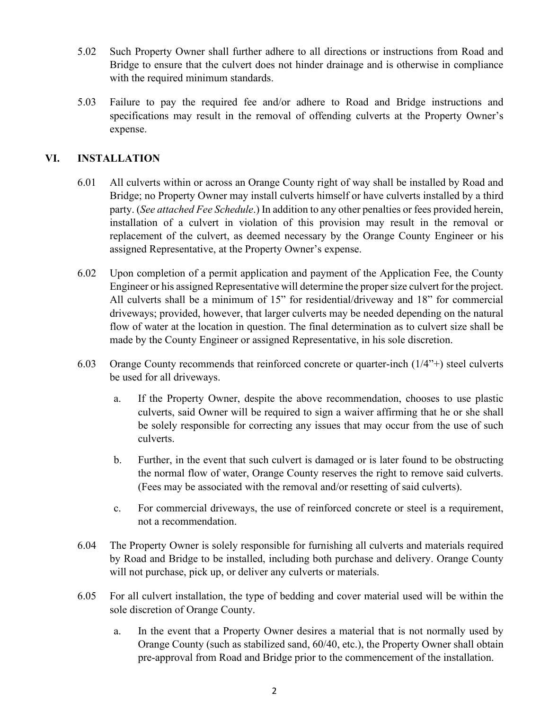- 5.02 Such Property Owner shall further adhere to all directions or instructions from Road and Bridge to ensure that the culvert does not hinder drainage and is otherwise in compliance with the required minimum standards.
- 5.03 Failure to pay the required fee and/or adhere to Road and Bridge instructions and specifications may result in the removal of offending culverts at the Property Owner's expense.

#### **VI. INSTALLATION**

- 6.01 All culverts within or across an Orange County right of way shall be installed by Road and Bridge; no Property Owner may install culverts himself or have culverts installed by a third party. (*See attached Fee Schedule*.) In addition to any other penalties or fees provided herein, installation of a culvert in violation of this provision may result in the removal or replacement of the culvert, as deemed necessary by the Orange County Engineer or his assigned Representative, at the Property Owner's expense.
- 6.02 Upon completion of a permit application and payment of the Application Fee, the County Engineer or his assigned Representative will determine the proper size culvert for the project. All culverts shall be a minimum of 15" for residential/driveway and 18" for commercial driveways; provided, however, that larger culverts may be needed depending on the natural flow of water at the location in question. The final determination as to culvert size shall be made by the County Engineer or assigned Representative, in his sole discretion.
- 6.03 Orange County recommends that reinforced concrete or quarter-inch (1/4"+) steel culverts be used for all driveways.
	- a. If the Property Owner, despite the above recommendation, chooses to use plastic culverts, said Owner will be required to sign a waiver affirming that he or she shall be solely responsible for correcting any issues that may occur from the use of such culverts.
	- b. Further, in the event that such culvert is damaged or is later found to be obstructing the normal flow of water, Orange County reserves the right to remove said culverts. (Fees may be associated with the removal and/or resetting of said culverts).
	- c. For commercial driveways, the use of reinforced concrete or steel is a requirement, not a recommendation.
- 6.04 The Property Owner is solely responsible for furnishing all culverts and materials required by Road and Bridge to be installed, including both purchase and delivery. Orange County will not purchase, pick up, or deliver any culverts or materials.
- 6.05 For all culvert installation, the type of bedding and cover material used will be within the sole discretion of Orange County.
	- a. In the event that a Property Owner desires a material that is not normally used by Orange County (such as stabilized sand, 60/40, etc.), the Property Owner shall obtain pre-approval from Road and Bridge prior to the commencement of the installation.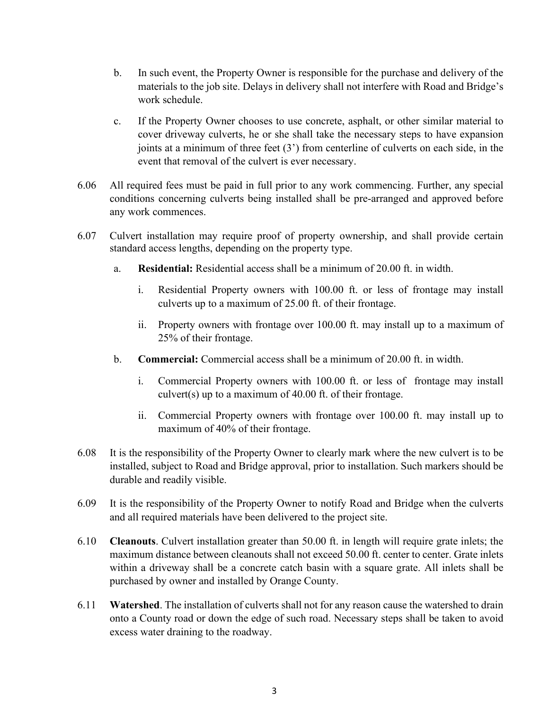- b. In such event, the Property Owner is responsible for the purchase and delivery of the materials to the job site. Delays in delivery shall not interfere with Road and Bridge's work schedule.
- c. If the Property Owner chooses to use concrete, asphalt, or other similar material to cover driveway culverts, he or she shall take the necessary steps to have expansion joints at a minimum of three feet (3') from centerline of culverts on each side, in the event that removal of the culvert is ever necessary.
- 6.06 All required fees must be paid in full prior to any work commencing. Further, any special conditions concerning culverts being installed shall be pre-arranged and approved before any work commences.
- 6.07 Culvert installation may require proof of property ownership, and shall provide certain standard access lengths, depending on the property type.
	- a. **Residential:** Residential access shall be a minimum of 20.00 ft. in width.
		- i. Residential Property owners with 100.00 ft. or less of frontage may install culverts up to a maximum of 25.00 ft. of their frontage.
		- ii. Property owners with frontage over 100.00 ft. may install up to a maximum of 25% of their frontage.
	- b. **Commercial:** Commercial access shall be a minimum of 20.00 ft. in width.
		- i. Commercial Property owners with 100.00 ft. or less of frontage may install culvert(s) up to a maximum of 40.00 ft. of their frontage.
		- ii. Commercial Property owners with frontage over 100.00 ft. may install up to maximum of 40% of their frontage.
- 6.08 It is the responsibility of the Property Owner to clearly mark where the new culvert is to be installed, subject to Road and Bridge approval, prior to installation. Such markers should be durable and readily visible.
- 6.09 It is the responsibility of the Property Owner to notify Road and Bridge when the culverts and all required materials have been delivered to the project site.
- 6.10 **Cleanouts**. Culvert installation greater than 50.00 ft. in length will require grate inlets; the maximum distance between cleanouts shall not exceed 50.00 ft. center to center. Grate inlets within a driveway shall be a concrete catch basin with a square grate. All inlets shall be purchased by owner and installed by Orange County.
- 6.11 **Watershed**. The installation of culverts shall not for any reason cause the watershed to drain onto a County road or down the edge of such road. Necessary steps shall be taken to avoid excess water draining to the roadway.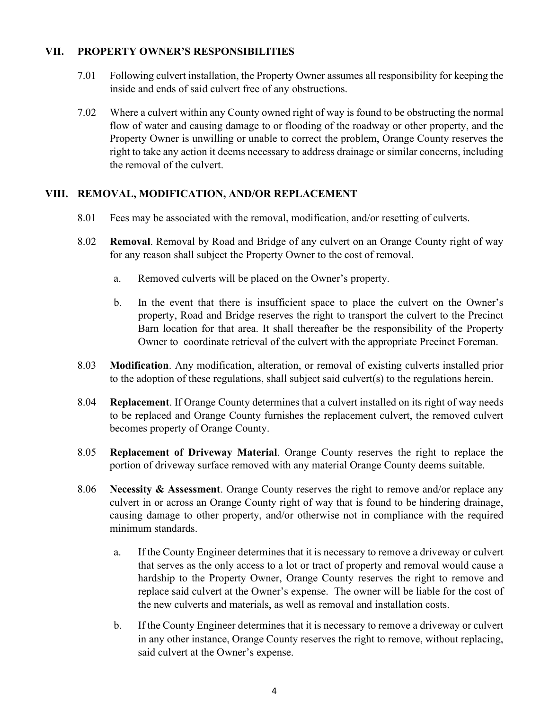#### **VII. PROPERTY OWNER'S RESPONSIBILITIES**

- 7.01 Following culvert installation, the Property Owner assumes all responsibility for keeping the inside and ends of said culvert free of any obstructions.
- 7.02 Where a culvert within any County owned right of way is found to be obstructing the normal flow of water and causing damage to or flooding of the roadway or other property, and the Property Owner is unwilling or unable to correct the problem, Orange County reserves the right to take any action it deems necessary to address drainage or similar concerns, including the removal of the culvert.

#### **VIII. REMOVAL, MODIFICATION, AND/OR REPLACEMENT**

- 8.01 Fees may be associated with the removal, modification, and/or resetting of culverts.
- 8.02 **Removal**. Removal by Road and Bridge of any culvert on an Orange County right of way for any reason shall subject the Property Owner to the cost of removal.
	- a. Removed culverts will be placed on the Owner's property.
	- b. In the event that there is insufficient space to place the culvert on the Owner's property, Road and Bridge reserves the right to transport the culvert to the Precinct Barn location for that area. It shall thereafter be the responsibility of the Property Owner to coordinate retrieval of the culvert with the appropriate Precinct Foreman.
- 8.03 **Modification**. Any modification, alteration, or removal of existing culverts installed prior to the adoption of these regulations, shall subject said culvert(s) to the regulations herein.
- 8.04 **Replacement**. If Orange County determines that a culvert installed on its right of way needs to be replaced and Orange County furnishes the replacement culvert, the removed culvert becomes property of Orange County.
- 8.05 **Replacement of Driveway Material**. Orange County reserves the right to replace the portion of driveway surface removed with any material Orange County deems suitable.
- 8.06 **Necessity & Assessment**. Orange County reserves the right to remove and/or replace any culvert in or across an Orange County right of way that is found to be hindering drainage, causing damage to other property, and/or otherwise not in compliance with the required minimum standards.
	- a. If the County Engineer determines that it is necessary to remove a driveway or culvert that serves as the only access to a lot or tract of property and removal would cause a hardship to the Property Owner, Orange County reserves the right to remove and replace said culvert at the Owner's expense. The owner will be liable for the cost of the new culverts and materials, as well as removal and installation costs.
	- b. If the County Engineer determines that it is necessary to remove a driveway or culvert in any other instance, Orange County reserves the right to remove, without replacing, said culvert at the Owner's expense.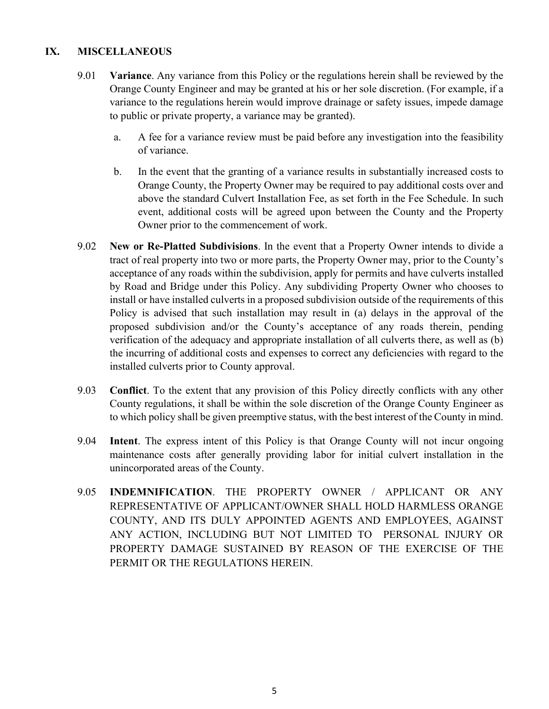#### **IX. MISCELLANEOUS**

- 9.01 **Variance**. Any variance from this Policy or the regulations herein shall be reviewed by the Orange County Engineer and may be granted at his or her sole discretion. (For example, if a variance to the regulations herein would improve drainage or safety issues, impede damage to public or private property, a variance may be granted).
	- a. A fee for a variance review must be paid before any investigation into the feasibility of variance.
	- b. In the event that the granting of a variance results in substantially increased costs to Orange County, the Property Owner may be required to pay additional costs over and above the standard Culvert Installation Fee, as set forth in the Fee Schedule. In such event, additional costs will be agreed upon between the County and the Property Owner prior to the commencement of work.
- 9.02 **New or Re-Platted Subdivisions**. In the event that a Property Owner intends to divide a tract of real property into two or more parts, the Property Owner may, prior to the County's acceptance of any roads within the subdivision, apply for permits and have culverts installed by Road and Bridge under this Policy. Any subdividing Property Owner who chooses to install or have installed culverts in a proposed subdivision outside of the requirements of this Policy is advised that such installation may result in (a) delays in the approval of the proposed subdivision and/or the County's acceptance of any roads therein, pending verification of the adequacy and appropriate installation of all culverts there, as well as (b) the incurring of additional costs and expenses to correct any deficiencies with regard to the installed culverts prior to County approval.
- 9.03 **Conflict**. To the extent that any provision of this Policy directly conflicts with any other County regulations, it shall be within the sole discretion of the Orange County Engineer as to which policy shall be given preemptive status, with the best interest of the County in mind.
- 9.04 **Intent**. The express intent of this Policy is that Orange County will not incur ongoing maintenance costs after generally providing labor for initial culvert installation in the unincorporated areas of the County.
- 9.05 **INDEMNIFICATION**. THE PROPERTY OWNER / APPLICANT OR ANY REPRESENTATIVE OF APPLICANT/OWNER SHALL HOLD HARMLESS ORANGE COUNTY, AND ITS DULY APPOINTED AGENTS AND EMPLOYEES, AGAINST ANY ACTION, INCLUDING BUT NOT LIMITED TO PERSONAL INJURY OR PROPERTY DAMAGE SUSTAINED BY REASON OF THE EXERCISE OF THE PERMIT OR THE REGULATIONS HEREIN.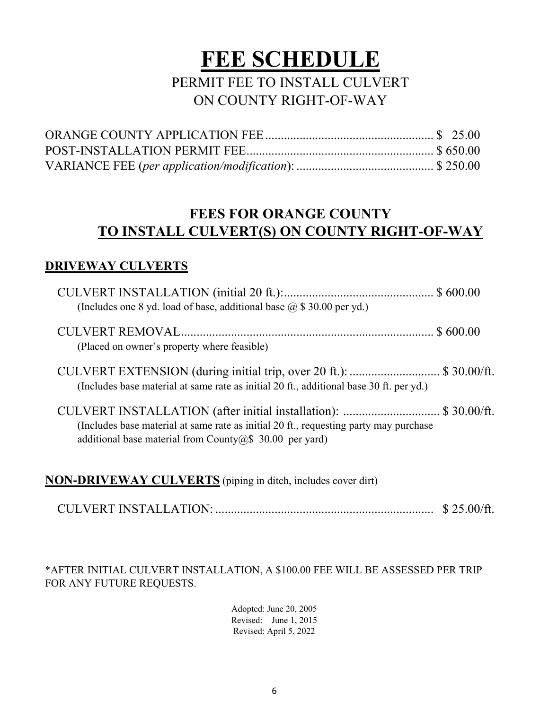# **FEE SCHEDULE**

# PERMIT FEE TO INSTALL CULVERT ON COUNTY RIGHT-OF-WAY

# **FEES FOR ORANGE COUNTY TO INSTALL CULVERT(S) ON COUNTY RIGHT-OF-WAY**

# **DRIVEWAY CULVERTS**

| (Includes one 8 yd. load of base, additional base $(2, $30.00$ per yd.)                                                                                                                                                   |  |
|---------------------------------------------------------------------------------------------------------------------------------------------------------------------------------------------------------------------------|--|
| (Placed on owner's property where feasible)                                                                                                                                                                               |  |
| CULVERT EXTENSION (during initial trip, over 20 ft.):  \$ 30.00/ft.<br>(Includes base material at same rate as initial 20 ft., additional base 30 ft. per yd.)                                                            |  |
| CULVERT INSTALLATION (after initial installation): \$ 30.00/ft.<br>(Includes base material at same rate as initial 20 ft., requesting party may purchase<br>additional base material from County $(a)$ \$ 30.00 per yard) |  |

**NON-DRIVEWAY CULVERTS** (piping in ditch, includes cover dirt)

CULVERT INSTALLATION: ...................................................................... \$ 25.00/ft.

\*AFTER INITIAL CULVERT INSTALLATION, A \$100.00 FEE WILL BE ASSESSED PER TRIP FOR ANY FUTURE REQUESTS.

> Adopted: June 20, 2005 Revised: June 1, 2015 Revised: April 5, 2022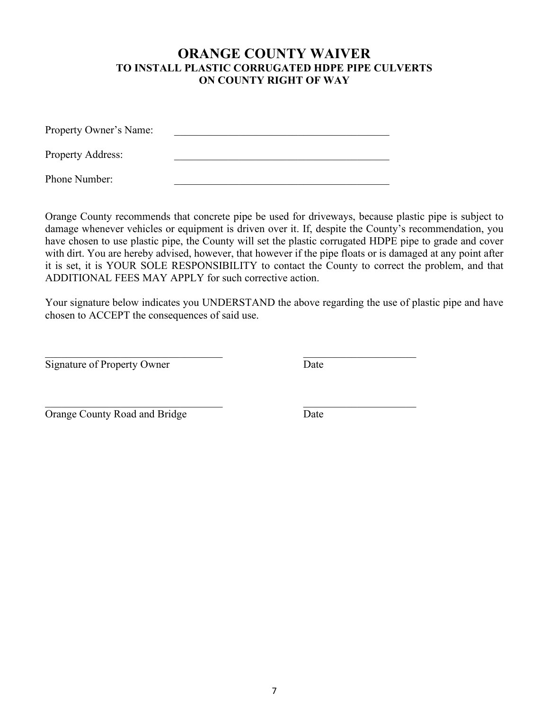### **ORANGE COUNTY WAIVER TO INSTALL PLASTIC CORRUGATED HDPE PIPE CULVERTS ON COUNTY RIGHT OF WAY**

| Property Owner's Name:   |  |
|--------------------------|--|
| <b>Property Address:</b> |  |
| Phone Number:            |  |

Orange County recommends that concrete pipe be used for driveways, because plastic pipe is subject to damage whenever vehicles or equipment is driven over it. If, despite the County's recommendation, you have chosen to use plastic pipe, the County will set the plastic corrugated HDPE pipe to grade and cover with dirt. You are hereby advised, however, that however if the pipe floats or is damaged at any point after it is set, it is YOUR SOLE RESPONSIBILITY to contact the County to correct the problem, and that ADDITIONAL FEES MAY APPLY for such corrective action.

Your signature below indicates you UNDERSTAND the above regarding the use of plastic pipe and have chosen to ACCEPT the consequences of said use.

Signature of Property Owner Date

 $\overline{\phantom{a}}$  , and the contribution of the contribution of  $\overline{\phantom{a}}$  , and the contribution of  $\overline{\phantom{a}}$ Orange County Road and Bridge Date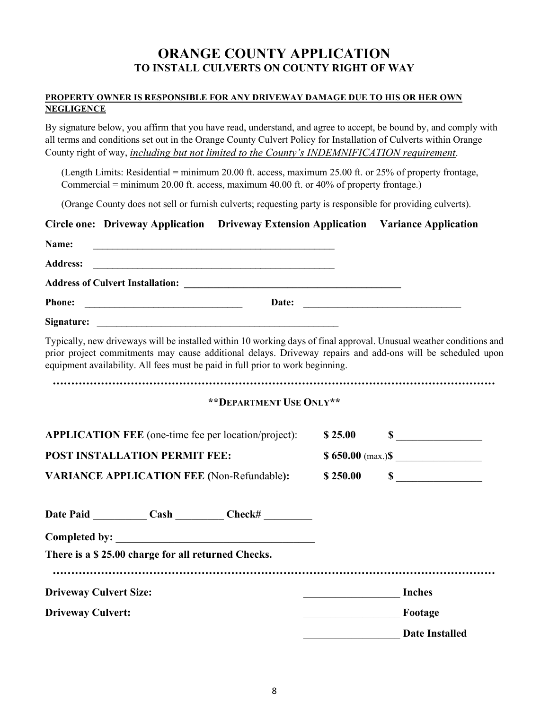# **ORANGE COUNTY APPLICATION TO INSTALL CULVERTS ON COUNTY RIGHT OF WAY**

#### **PROPERTY OWNER IS RESPONSIBLE FOR ANY DRIVEWAY DAMAGE DUE TO HIS OR HER OWN NEGLIGENCE**

By signature below, you affirm that you have read, understand, and agree to accept, be bound by, and comply with all terms and conditions set out in the Orange County Culvert Policy for Installation of Culverts within Orange County right of way, *including but not limited to the County's INDEMNIFICATION requirement*.

(Length Limits: Residential = minimum 20.00 ft. access, maximum 25.00 ft. or 25% of property frontage, Commercial = minimum 20.00 ft. access, maximum 40.00 ft. or 40% of property frontage.)

(Orange County does not sell or furnish culverts; requesting party is responsible for providing culverts).

|                                      |                                                    | Circle one: Driveway Application Driveway Extension Application Variance Application |                      |                                                                                                                                                                                                                                   |
|--------------------------------------|----------------------------------------------------|--------------------------------------------------------------------------------------|----------------------|-----------------------------------------------------------------------------------------------------------------------------------------------------------------------------------------------------------------------------------|
| Name:                                |                                                    | <u> 1989 - Johann Barbara, martxa alemaniar amerikan basar da a</u>                  |                      |                                                                                                                                                                                                                                   |
| <b>Address:</b>                      |                                                    |                                                                                      |                      |                                                                                                                                                                                                                                   |
|                                      |                                                    |                                                                                      |                      |                                                                                                                                                                                                                                   |
| <b>Phone:</b>                        |                                                    |                                                                                      |                      |                                                                                                                                                                                                                                   |
|                                      |                                                    |                                                                                      |                      |                                                                                                                                                                                                                                   |
|                                      |                                                    | equipment availability. All fees must be paid in full prior to work beginning.       |                      | Typically, new driveways will be installed within 10 working days of final approval. Unusual weather conditions and<br>prior project commitments may cause additional delays. Driveway repairs and add-ons will be scheduled upon |
|                                      |                                                    | ** DEPARTMENT USE ONLY**                                                             |                      |                                                                                                                                                                                                                                   |
|                                      |                                                    | <b>APPLICATION FEE</b> (one-time fee per location/project):                          |                      | $$25.00$ $$$                                                                                                                                                                                                                      |
| <b>POST INSTALLATION PERMIT FEE:</b> |                                                    |                                                                                      | $$650.00$ (max.) $$$ |                                                                                                                                                                                                                                   |
|                                      |                                                    | <b>VARIANCE APPLICATION FEE (Non-Refundable):</b>                                    | \$250.00             | $\sim$                                                                                                                                                                                                                            |
|                                      |                                                    | Date Paid Cash Cash Check#                                                           |                      |                                                                                                                                                                                                                                   |
|                                      |                                                    |                                                                                      |                      |                                                                                                                                                                                                                                   |
|                                      | There is a \$25.00 charge for all returned Checks. |                                                                                      |                      |                                                                                                                                                                                                                                   |
| <b>Driveway Culvert Size:</b>        |                                                    |                                                                                      |                      | <b>Inches</b>                                                                                                                                                                                                                     |
| <b>Driveway Culvert:</b>             |                                                    |                                                                                      | Footage              |                                                                                                                                                                                                                                   |
|                                      |                                                    |                                                                                      |                      | <b>Date Installed</b>                                                                                                                                                                                                             |